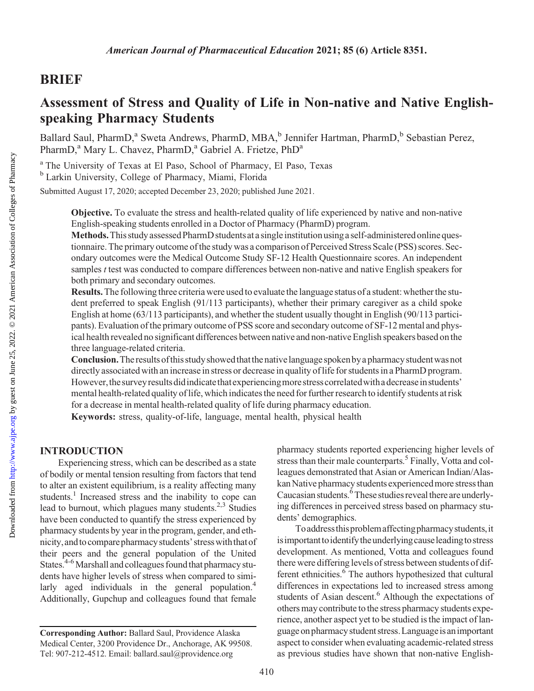## BRIEF

# Assessment of Stress and Quality of Life in Non-native and Native Englishspeaking Pharmacy Students

Ballard Saul, PharmD,<sup>a</sup> Sweta Andrews, PharmD, MBA,<sup>b</sup> Jennifer Hartman, PharmD,<sup>b</sup> Sebastian Perez, PharmD,<sup>a</sup> Mary L. Chavez, PharmD,<sup>a</sup> Gabriel A. Frietze, PhD<sup>a</sup>

<sup>a</sup> The University of Texas at El Paso, School of Pharmacy, El Paso, Texas <sup>b</sup> Larkin University, College of Pharmacy, Miami, Florida

Submitted August 17, 2020; accepted December 23, 2020; published June 2021.

Objective. To evaluate the stress and health-related quality of life experienced by native and non-native English-speaking students enrolled in a Doctor of Pharmacy (PharmD) program.

Methods. This study assessed PharmD students at a single institution using a self-administered online questionnaire. The primary outcome of the study was a comparison of Perceived Stress Scale (PSS) scores. Secondary outcomes were the Medical Outcome Study SF-12 Health Questionnaire scores. An independent samples *t* test was conducted to compare differences between non-native and native English speakers for both primary and secondary outcomes.

Results. The following three criteria were used to evaluate the language status of a student: whether the student preferred to speak English (91/113 participants), whether their primary caregiver as a child spoke English at home (63/113 participants), and whether the student usually thought in English (90/113 participants). Evaluation of the primary outcome of PSS score and secondary outcome of SF-12 mental and physical health revealed no significant differences between native and non-native English speakers based onthe three language-related criteria.

Conclusion. The results of this study showed that the native language spoken by a pharmacy student was not directly associated with an increase in stress or decrease in quality of life for students in a PharmD program. However, the survey results did indicate that experiencing more stress correlated with a decrease in students' mental health-related quality of life, which indicates the need for further research to identify students at risk for a decrease in mental health-related quality of life during pharmacy education.

Keywords: stress, quality-of-life, language, mental health, physical health

## INTRODUCTION

Experiencing stress, which can be described as a state of bodily or mental tension resulting from factors that tend to alter an existent equilibrium, is a reality affecting many students.<sup>[1](#page-4-0)</sup> Increased stress and the inability to cope can lead to burnout, which plagues many students.<sup>[2,3](#page-4-0)</sup> Studies have been conducted to quantify the stress experienced by pharmacy students by year in the program, gender, and ethnicity, and to compare pharmacy students' stress with that of their peers and the general population of the United States.<sup>4-6</sup> Marshall and colleagues found that pharmacy students have higher levels of stress when compared to simi-larly aged individuals in the general population.<sup>[4](#page-4-0)</sup> Additionally, Gupchup and colleagues found that female

pharmacy students reported experiencing higher levels of stress than their male counterparts.<sup>5</sup> Finally, Votta and colleagues demonstrated that Asian or American Indian/Alaskan Native pharmacy students experienced more stress than Caucasian students.<sup>6</sup> These studies reveal there are underlying differences in perceived stress based on pharmacy students' demographics.

Toaddressthisproblemaffectingpharmacystudents,it is important to identify the underlying cause leading to stress development. As mentioned, Votta and colleagues found there were differing levels of stress between students of different ethnicities.<sup>6</sup> The authors hypothesized that cultural differences in expectations led to increased stress among students of Asian descent.<sup>6</sup> Although the expectations of others may contribute to the stress pharmacy students experience, another aspect yet to be studied is the impact of language on pharmacy student stress.Languageis animportant aspect to consider when evaluating academic-related stress as previous studies have shown that non-native English-

Corresponding Author: Ballard Saul, Providence Alaska Medical Center, 3200 Providence Dr., Anchorage, AK 99508. Tel: 907-212-4512. Email: [ballard.saul@providence.org](mailto:ballard.saul@providence.org)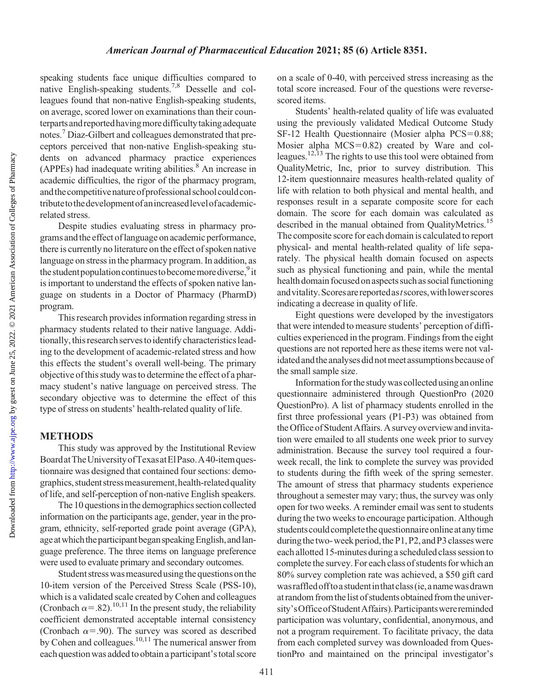speaking students face unique difficulties compared to native English-speaking students.<sup>7,8</sup> Desselle and colleagues found that non-native English-speaking students, on average, scored lower on examinations than their counterparts and reported having more difficulty taking adequate notes[.7](#page-4-0) Diaz-Gilbert and colleagues demonstrated that preceptors perceived that non-native English-speaking students on advanced pharmacy practice experiences  $(APPEs)$  had inadequate writing abilities.<sup>8</sup> An increase in academic difficulties, the rigor of the pharmacy program, and the competitive nature of professional school could contributetothedevelopmentofanincreasedlevelofacademicrelated stress.

Despite studies evaluating stress in pharmacy programs and the effect oflanguage on academic performance, there is currently no literature on the effect of spoken native language on stress in the pharmacy program. In addition, as the student population continues to become more diverse,<sup>[9](#page-4-0)</sup> it is important to understand the effects of spoken native language on students in a Doctor of Pharmacy (PharmD) program.

This research provides information regarding stress in pharmacy students related to their native language. Additionally, this research serves to identify characteristics leading to the development of academic-related stress and how this effects the student's overall well-being. The primary objective of this study was to determine the effect of a pharmacy student's native language on perceived stress. The secondary objective was to determine the effect of this type of stress on students' health-related quality of life.

## METHODS

This study was approved by the Institutional Review BoardatTheUniversityofTexasatElPaso.A 40-item questionnaire was designed that contained four sections: demographics, student stress measurement, health-related quality of life, and self-perception of non-native English speakers.

The 10 questions in the demographics section collected information on the participants age, gender, year in the program, ethnicity, self-reported grade point average (GPA), age at which the participant began speaking English, and language preference. The three items on language preference were used to evaluate primary and secondary outcomes.

Student stress was measured using the questions on the 10-item version of the Perceived Stress Scale (PSS-10), which is a validated scale created by Cohen and colleagues (Cronbach  $\alpha$ =.82).<sup>[10,11](#page-4-0)</sup> In the present study, the reliability coefficient demonstrated acceptable internal consistency (Cronbach  $\alpha$ =.90). The survey was scored as described by Cohen and colleagues.<sup>10,11</sup> The numerical answer from each question was added to obtain a participant'stotal score on a scale of 0-40, with perceived stress increasing as the total score increased. Four of the questions were reversescored items.

Students' health-related quality of life was evaluated using the previously validated Medical Outcome Study SF-12 Health Questionnaire (Mosier alpha PCS=0.88; Mosier alpha  $MCS = 0.82$ ) created by Ware and col-leagues.<sup>[12,13](#page-4-0)</sup> The rights to use this tool were obtained from QualityMetric, Inc, prior to survey distribution. This 12-item questionnaire measures health-related quality of life with relation to both physical and mental health, and responses result in a separate composite score for each domain. The score for each domain was calculated as described in the manual obtained from QualityMetrics.<sup>[15](#page-4-0)</sup> The composite score for each domain is calculated to report physical- and mental health-related quality of life separately. The physical health domain focused on aspects such as physical functioning and pain, while the mental health domain focused on aspects such as social functioning and vitality. Scores are reported as *t* scores, with lower scores indicating a decrease in quality of life.

Eight questions were developed by the investigators that were intended to measure students' perception of difficulties experienced in the program. Findings from the eight questions are not reported here as these items were not validated and the analyses did not meet assumptions because of the small sample size.

Information forthe studywas collected using an online questionnaire administered through QuestionPro (2020 QuestionPro). A list of pharmacy students enrolled in the first three professional years (P1-P3) was obtained from the Office of Student Affairs. A survey overview and invitation were emailed to all students one week prior to survey administration. Because the survey tool required a fourweek recall, the link to complete the survey was provided to students during the fifth week of the spring semester. The amount of stress that pharmacy students experience throughout a semester may vary; thus, the survey was only open for two weeks. A reminder email was sent to students during the two weeks to encourage participation. Although students could complete the questionnaire online at any time during the two-week period, the P1, P2, and P3 classes were each allotted 15-minutes during a scheduled class sessionto complete the survey. For each class of students for which an 80% survey completion rate was achieved, a \$50 gift card was raffled off to a student in that class (ie, a name was drawn at random fromthelist of students obtained fromthe university'sOfficeofStudentAffairs).Participantswere reminded participation was voluntary, confidential, anonymous, and not a program requirement. To facilitate privacy, the data from each completed survey was downloaded from QuestionPro and maintained on the principal investigator's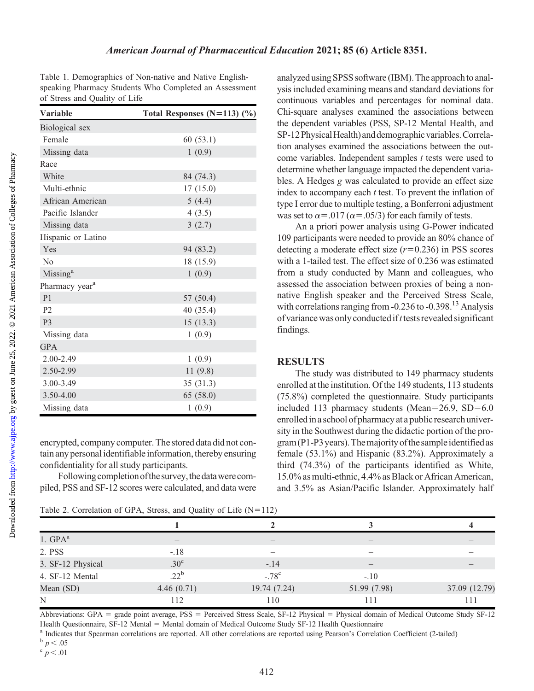<span id="page-2-0"></span>Table 1. Demographics of Non-native and Native Englishspeaking Pharmacy Students Who Completed an Assessment of Stress and Quality of Life

| <b>Variable</b>            | Total Responses $(N=113)$ $(\%)$ |
|----------------------------|----------------------------------|
| Biological sex             |                                  |
| Female                     | 60(53.1)                         |
| Missing data               | 1(0.9)                           |
| Race                       |                                  |
| White                      | 84 (74.3)                        |
| Multi-ethnic               | 17(15.0)                         |
| African American           | 5(4.4)                           |
| Pacific Islander           | 4(3.5)                           |
| Missing data               | 3(2.7)                           |
| Hispanic or Latino         |                                  |
| Yes                        | 94 (83.2)                        |
| No                         | 18 (15.9)                        |
| Missing <sup>a</sup>       | 1(0.9)                           |
| Pharmacy year <sup>a</sup> |                                  |
| P <sub>1</sub>             | 57 (50.4)                        |
| P <sub>2</sub>             | 40 (35.4)                        |
| P <sub>3</sub>             | 15(13.3)                         |
| Missing data               | 1(0.9)                           |
| <b>GPA</b>                 |                                  |
| 2.00-2.49                  | 1(0.9)                           |
| 2.50-2.99                  | 11(9.8)                          |
| 3.00-3.49                  | 35(31.3)                         |
| 3.50-4.00                  | 65 (58.0)                        |
| Missing data               | 1(0.9)                           |

encrypted, company computer. The stored data did not contain any personal identifiable information, thereby ensuring confidentiality for all study participants.

Following completion of the survey, the data were compiled, PSS and SF-12 scores were calculated, and data were

analyzed using SPSS software (IBM). The approachto analysis included examining means and standard deviations for continuous variables and percentages for nominal data. Chi-square analyses examined the associations between the dependent variables (PSS, SP-12 Mental Health, and SP-12 Physical Health) and demographic variables. Correlation analyses examined the associations between the outcome variables. Independent samples  $t$  tests were used to determine whether language impacted the dependent variables. A Hedges g was calculated to provide an effect size index to accompany each  $t$  test. To prevent the inflation of type I error due to multiple testing, a Bonferroni adjustment was set to  $\alpha$ =.017 ( $\alpha$ =.05/3) for each family of tests.

An a priori power analysis using G-Power indicated 109 participants were needed to provide an 80% chance of detecting a moderate effect size  $(r=0.236)$  in PSS scores with a 1-tailed test. The effect size of 0.236 was estimated from a study conducted by Mann and colleagues, who assessed the association between proxies of being a nonnative English speaker and the Perceived Stress Scale, with correlations ranging from -0.236 to -0.398.<sup>13</sup> Analysis of variance was only conducted if  $t$  tests revealed significant findings.

#### RESULTS

The study was distributed to 149 pharmacy students enrolled at the institution. Of the 149 students, 113 students (75.8%) completed the questionnaire. Study participants included 113 pharmacy students (Mean= $26.9$ , SD= $6.0$ enrolledin a school of pharmacy at a public research university in the Southwest during the didactic portion of the program (P1-P3 years). The majority of the sample identified as female (53.1%) and Hispanic (83.2%). Approximately a third (74.3%) of the participants identified as White, 15.0% as multi-ethnic, 4.4% as Black or African American, and 3.5% as Asian/Pacific Islander. Approximately half

|                   | Table 2. Correlation of GPA, Stress, and Quality of Life $(N=112)$ |                |              |               |
|-------------------|--------------------------------------------------------------------|----------------|--------------|---------------|
|                   |                                                                    |                |              |               |
| $1.$ GP $A^a$     |                                                                    |                |              |               |
| 2. PSS            | $-.18$                                                             |                |              |               |
| 3. SF-12 Physical | .30 <sup>c</sup>                                                   | $-.14$         |              |               |
| 4. SF-12 Mental   | $.22^{\rm b}$                                                      | $-.78^{\circ}$ | $-.10$       |               |
| Mean (SD)         | 4.46 $(0.71)$                                                      | 19.74 (7.24)   | 51.99 (7.98) | 37.09 (12.79) |
| N                 | 112                                                                | 110            | 111          | 111           |

Abbreviations: GPA = grade point average, PSS = Perceived Stress Scale, SF-12 Physical = Physical domain of Medical Outcome Study SF-12 Health Questionnaire, SF-12 Mental = Mental domain of Medical Outcome Study SF-12 Health Questionnaire<br><sup>a</sup> Indicates that Spearman correlations are reported. All other correlations are reported using Pearson's Correlation

$$
\frac{p}{c} \leq 0.05
$$

 $p < .01$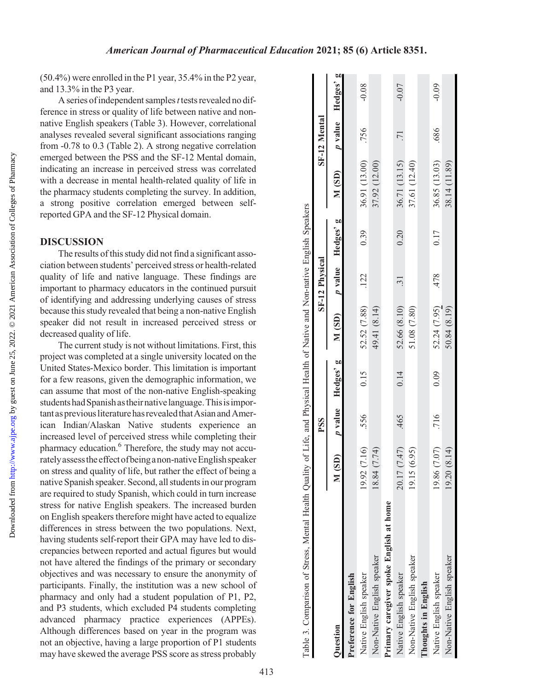(50.4%) were enrolled in the P1 year, 35.4% in the P2 year, and 13.3% in the P3 year.

A series of independent samples  $t$  tests revealed no difference in stress or quality of life between native and nonnative English speakers (Table 3). However, correlational analyses revealed several significant associations ranging from -0.78 to 0.3 (Table [2\)](#page-2-0). A strong negative correlation emerged between the PSS and the SF-12 Mental domain, indicating an increase in perceived stress was correlated with a decrease in mental health-related quality of life in the pharmacy students completing the survey. In addition, a strong positive correlation emerged between selfreported GPA and the SF-12 Physical domain.

#### DISCUSSION

The results of this study did not find a significant association between students' perceived stress or health-related quality of life and native language. These findings are important to pharmacy educators in the continued pursuit of identifying and addressing underlying causes of stress because this study revealed that being a non-native English speaker did not result in increased perceived stress or decreased quality of life.

The current study is not without limitations. First, this project was completed at a single university located on the United States-Mexico border. This limitation is important for a few reasons, given the demographic information, we can assume that most of the non-native English-speaking students had Spanish as their native language. This is important as previous literature has revealed that Asian and American Indian/Alaskan Native students experience an increased level of perceived stress while completing their pharmacy education[.6](#page-4-0) Therefore, the study may not accuratelyassesstheeffect ofbeinga non-nativeEnglish speaker on stress and quality of life, but rather the effect of being a native Spanish speaker. Second, all students in our program are required to study Spanish, which could in turn increase stress for native English speakers. The increased burden on English speakers therefore might have acted to equalize differences in stress between the two populations. Next, having students self-report their GPA may have led to discrepancies between reported and actual figures but would not have altered the findings of the primary or secondary objectives and was necessary to ensure the anonymity of participants. Finally, the institution was a new school of pharmacy and only had a student population of P1, P2, and P3 students, which excluded P4 students completing advanced pharmacy practice experiences (APPEs). Although differences based on year in the program was not an objective, having a large proportion of P1 students may have skewed the average PSS score as stress probably

|                                         |                   | PSS  |                   |                                  | <b>SF-12 Physical</b> |      |                          | SF-12 Mental    |         |
|-----------------------------------------|-------------------|------|-------------------|----------------------------------|-----------------------|------|--------------------------|-----------------|---------|
| <b>Duestion</b>                         | M(SD)             |      | p value Hedges' g | $M(SD)$ <i>p</i> value Hedges' g |                       |      | M (SD) p value Hedges' g |                 |         |
| Preference for English                  |                   |      |                   |                                  |                       |      |                          |                 |         |
| Native English speaker                  | 19.92 (7.16)      | .556 | 0.15              | 52.52 (7.88)                     | .122                  | 0.39 | 36.91 (13.00)            | .756            | $-0.08$ |
| Non-Native English speaker              | 18.84 (7.74)      |      |                   | 49.41 (8.14)                     |                       |      | 37.92 (12.00)            |                 |         |
| Primary caregiver spoke English at home |                   |      |                   |                                  |                       |      |                          |                 |         |
| Native English speaker                  | (147)<br>20.17 (7 | .465 | 0.14              | 52.66 (8.10)                     | $\ddot{31}$           | 0.20 | 36.71 (13.15)            | $\overline{71}$ | $-0.07$ |
| Non-Native English speaker              | 19.15 (6.95)      |      |                   | 51.08 (7.80)                     |                       |      | 37.61 (12.40)            |                 |         |
| Thoughts in English                     |                   |      |                   |                                  |                       |      |                          |                 |         |
| Native English speaker                  | 19.86 (7.07)      | .716 | 0.09              | 52.24 (7.95)                     | .478                  | 0.17 | 36.85 (13.03)            | .686            | $-0.09$ |
| Non-Native English speaker              | 19.20 (8.14)      |      |                   | 50.84 (8.19)                     |                       |      | 38.14 (11.89)            |                 |         |